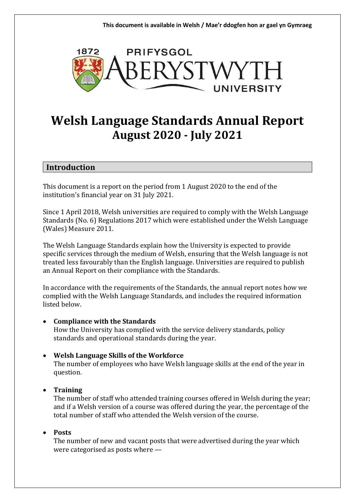

# **Welsh Language Standards Annual Report August 2020 - July 2021**

### **Introduction**

This document is a report on the period from 1 August 2020 to the end of the institution's financial year on 31 July 2021.

Since 1 April 2018, Welsh universities are required to comply with the Welsh Language Standards (No. 6) Regulations 2017 which were established under the Welsh Language (Wales) Measure 2011.

The Welsh Language Standards explain how the University is expected to provide specific services through the medium of Welsh, ensuring that the Welsh language is not treated less favourably than the English language. Universities are required to publish an Annual Report on their compliance with the Standards.

In accordance with the requirements of the Standards, the annual report notes how we complied with the Welsh Language Standards, and includes the required information listed below.

#### • **Compliance with the Standards**

How the University has complied with the service delivery standards, policy standards and operational standards during the year.

### • **Welsh Language Skills of the Workforce**

The number of employees who have Welsh language skills at the end of the year in question.

### • **Training**

The number of staff who attended training courses offered in Welsh during the year; and if a Welsh version of a course was offered during the year, the percentage of the total number of staff who attended the Welsh version of the course.

#### • **Posts**

The number of new and vacant posts that were advertised during the year which were categorised as posts where —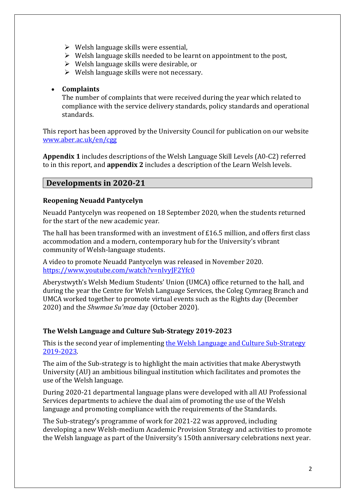- $\triangleright$  Welsh language skills were essential,
- $\triangleright$  Welsh language skills needed to be learnt on appointment to the post,
- ➢ Welsh language skills were desirable, or
- $\triangleright$  Welsh language skills were not necessary.

### • **Complaints**

The number of complaints that were received during the year which related to compliance with the service delivery standards, policy standards and operational standards.

This report has been approved by the University Council for publication on our website [www.aber.ac.uk/en/cgg](http://www.aber.ac.uk/cy/cgg)

**Appendix 1** includes descriptions of the Welsh Language Skill Levels (A0-C2) referred to in this report, and **appendix 2** includes a description of the Learn Welsh levels.

### **Developments in 2020-21**

### **Reopening Neuadd Pantycelyn**

Neuadd Pantycelyn was reopened on 18 September 2020, when the students returned for the start of the new academic year.

The hall has been transformed with an investment of £16.5 million, and offers first class accommodation and a modern, contemporary hub for the University's vibrant community of Welsh-language students.

A video to promote Neuadd Pantycelyn was released in November 2020. [https://www.youtube.com/watch?v=nIvyJF2Yfc0](https://eur02.safelinks.protection.outlook.com/?url=https%3A%2F%2Fwww.youtube.com%2Fwatch%3Fv%3DnIvyJF2Yfc0&data=04|01||08deb6865f3e4bd7c6f708d93af0e1f1|d47b090e3f5a4ca084d09f89d269f175|0|0|637605628513249359|Unknown|TWFpbGZsb3d8eyJWIjoiMC4wLjAwMDAiLCJQIjoiV2luMzIiLCJBTiI6Ik1haWwiLCJXVCI6Mn0%3D|1000&sdata=ar0W%2BjjWD8zF4RGJORTJUAU0eOpLWIolxyM8fYqsbI0%3D&reserved=0)

Aberystwyth's Welsh Medium Students' Union (UMCA) office returned to the hall, and during the year the Centre for Welsh Language Services, the Coleg Cymraeg Branch and UMCA worked together to promote virtual events such as the Rights day (December 2020) and the *Shwmae Su'mae* day (October 2020).

### **The Welsh Language and Culture Sub-Strategy 2019-2023**

This is the second year of implementing [the Welsh Language and Culture Sub-Strategy](https://www.aber.ac.uk/en/media/departmental/cwls/pdfs/Welsh-Language-and-Culture-Sub-Strategy.pdf)  [2019-2023.](https://www.aber.ac.uk/en/media/departmental/cwls/pdfs/Welsh-Language-and-Culture-Sub-Strategy.pdf)

The aim of the Sub-strategy is to highlight the main activities that make Aberystwyth University (AU) an ambitious bilingual institution which facilitates and promotes the use of the Welsh language.

During 2020-21 departmental language plans were developed with all AU Professional Services departments to achieve the dual aim of promoting the use of the Welsh language and promoting compliance with the requirements of the Standards.

The Sub-strategy's programme of work for 2021-22 was approved, including developing a new Welsh-medium Academic Provision Strategy and activities to promote the Welsh language as part of the University's 150th anniversary celebrations next year.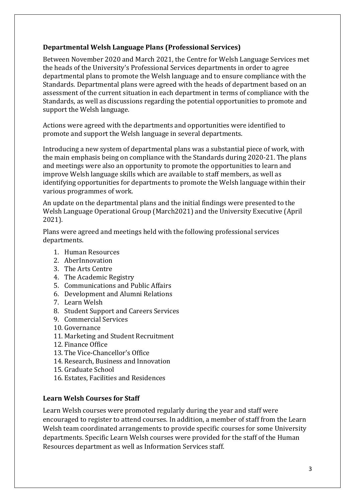### **Departmental Welsh Language Plans (Professional Services)**

Between November 2020 and March 2021, the Centre for Welsh Language Services met the heads of the University's Professional Services departments in order to agree departmental plans to promote the Welsh language and to ensure compliance with the Standards. Departmental plans were agreed with the heads of department based on an assessment of the current situation in each department in terms of compliance with the Standards, as well as discussions regarding the potential opportunities to promote and support the Welsh language.

Actions were agreed with the departments and opportunities were identified to promote and support the Welsh language in several departments.

Introducing a new system of departmental plans was a substantial piece of work, with the main emphasis being on compliance with the Standards during 2020-21. The plans and meetings were also an opportunity to promote the opportunities to learn and improve Welsh language skills which are available to staff members, as well as identifying opportunities for departments to promote the Welsh language within their various programmes of work.

An update on the departmental plans and the initial findings were presented to the Welsh Language Operational Group (March2021) and the University Executive (April 2021).

Plans were agreed and meetings held with the following professional services departments.

- 1. Human Resources
- 2. AberInnovation
- 3. The Arts Centre
- 4. The Academic Registry
- 5. Communications and Public Affairs
- 6. Development and Alumni Relations
- 7. Learn Welsh
- 8. Student Support and Careers Services
- 9. Commercial Services
- 10. Governance
- 11. Marketing and Student Recruitment
- 12. Finance Office
- 13. The Vice-Chancellor's Office
- 14. Research, Business and Innovation
- 15. Graduate School
- 16. Estates, Facilities and Residences

### **Learn Welsh Courses for Staff**

Learn Welsh courses were promoted regularly during the year and staff were encouraged to register to attend courses. In addition, a member of staff from the Learn Welsh team coordinated arrangements to provide specific courses for some University departments. Specific Learn Welsh courses were provided for the staff of the Human Resources department as well as Information Services staff.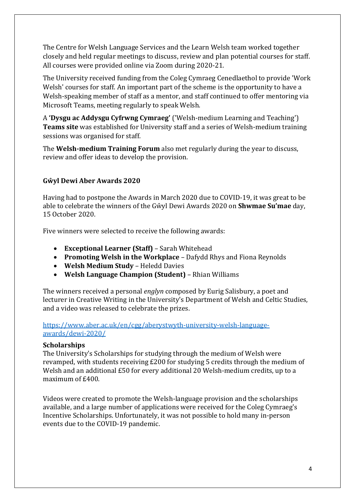The Centre for Welsh Language Services and the Learn Welsh team worked together closely and held regular meetings to discuss, review and plan potential courses for staff. All courses were provided online via Zoom during 2020-21.

The University received funding from the Coleg Cymraeg Cenedlaethol to provide 'Work Welsh' courses for staff. An important part of the scheme is the opportunity to have a Welsh-speaking member of staff as a mentor, and staff continued to offer mentoring via Microsoft Teams, meeting regularly to speak Welsh.

A **'Dysgu ac Addysgu Cyfrwng Cymraeg'** ('Welsh-medium Learning and Teaching') **Teams site** was established for University staff and a series of Welsh-medium training sessions was organised for staff.

The **Welsh-medium Training Forum** also met regularly during the year to discuss, review and offer ideas to develop the provision.

### **Gŵyl Dewi Aber Awards 2020**

Having had to postpone the Awards in March 2020 due to COVID-19, it was great to be able to celebrate the winners of the Gŵyl Dewi Awards 2020 on **Shwmae Su'mae** day, 15 October 2020.

Five winners were selected to receive the following awards:

- **Exceptional Learner (Staff)** Sarah Whitehead
- **Promoting Welsh in the Workplace** Dafydd Rhys and Fiona Reynolds
- **Welsh Medium Study** Heledd Davies
- **Welsh Language Champion (Student)** Rhian Williams

The winners received a personal *englyn* composed by Eurig Salisbury, a poet and lecturer in Creative Writing in the University's Department of Welsh and Celtic Studies, and a video was released to celebrate the prizes.

[https://www.aber.ac.uk/en/cgg/aberystwyth-university-welsh-language](https://www.aber.ac.uk/en/cgg/aberystwyth-university-welsh-language-awards/dewi-2020/)[awards/dewi-2020/](https://www.aber.ac.uk/en/cgg/aberystwyth-university-welsh-language-awards/dewi-2020/)

#### **Scholarships**

The University's Scholarships for studying through the medium of Welsh were revamped, with students receiving £200 for studying 5 credits through the medium of Welsh and an additional £50 for every additional 20 Welsh-medium credits, up to a maximum of £400.

Videos were created to promote the Welsh-language provision and the scholarships available, and a large number of applications were received for the Coleg Cymraeg's Incentive Scholarships. Unfortunately, it was not possible to hold many in-person events due to the COVID-19 pandemic.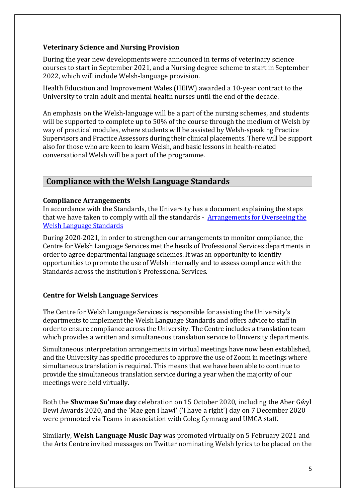### **Veterinary Science and Nursing Provision**

During the year new developments were announced in terms of veterinary science courses to start in September 2021, and a Nursing degree scheme to start in September 2022, which will include Welsh-language provision.

Health Education and Improvement Wales (HEIW) awarded a 10-year contract to the University to train adult and mental health nurses until the end of the decade.

An emphasis on the Welsh-language will be a part of the nursing schemes, and students will be supported to complete up to 50% of the course through the medium of Welsh by way of practical modules, where students will be assisted by Welsh-speaking Practice Supervisors and Practice Assessors during their clinical placements. There will be support also for those who are keen to learn Welsh, and basic lessons in health-related conversational Welsh will be a part of the programme.

### **Compliance with the Welsh Language Standards**

### **Compliance Arrangements**

In accordance with the Standards, the University has a document explaining the steps that we have taken to comply with all the standards - [Arrangements for Overseeing the](https://www.aber.ac.uk/en/media/departmental/cwls/canllawiausafonauiaithhefyd/Arrangement-for-Overseeing-the-Welsh-Language-Standards---FINAL.pdf)  [Welsh Language Standards](https://www.aber.ac.uk/en/media/departmental/cwls/canllawiausafonauiaithhefyd/Arrangement-for-Overseeing-the-Welsh-Language-Standards---FINAL.pdf) 

During 2020-2021, in order to strengthen our arrangements to monitor compliance, the Centre for Welsh Language Services met the heads of Professional Services departments in order to agree departmental language schemes. It was an opportunity to identify opportunities to promote the use of Welsh internally and to assess compliance with the Standards across the institution's Professional Services.

### **Centre for Welsh Language Services**

The Centre for Welsh Language Services is responsible for assisting the University's departments to implement the Welsh Language Standards and offers advice to staff in order to ensure compliance across the University. The Centre includes a translation team which provides a written and simultaneous translation service to University departments.

Simultaneous interpretation arrangements in virtual meetings have now been established, and the University has specific procedures to approve the use of Zoom in meetings where simultaneous translation is required. This means that we have been able to continue to provide the simultaneous translation service during a year when the majority of our meetings were held virtually.

Both the **Shwmae Su'mae day** celebration on 15 October 2020, including the Aber Gŵyl Dewi Awards 2020, and the 'Mae gen i hawl' ('I have a right') day on 7 December 2020 were promoted via Teams in association with Coleg Cymraeg and UMCA staff.

Similarly, **Welsh Language Music Day** was promoted virtually on 5 February 2021 and the Arts Centre invited messages on Twitter nominating Welsh lyrics to be placed on the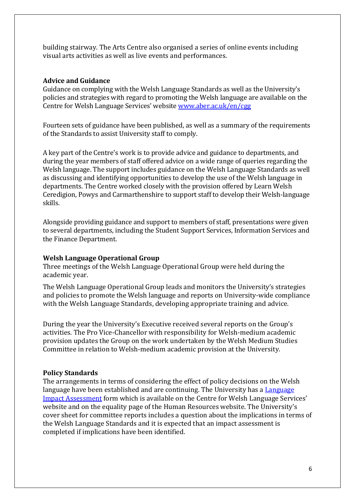building stairway. The Arts Centre also organised a series of online events including visual arts activities as well as live events and performances.

#### **Advice and Guidance**

Guidance on complying with the Welsh Language Standards as well as the University's policies and strategies with regard to promoting the Welsh language are available on the Centre for Welsh Language Services' website [www.aber.ac.uk/en/cgg](http://www.aber.ac.uk/cy/cgg/)

Fourteen sets of guidance have been published, as well as a summary of the requirements of the Standards to assist University staff to comply.

A key part of the Centre's work is to provide advice and guidance to departments, and during the year members of staff offered advice on a wide range of queries regarding the Welsh language. The support includes guidance on the Welsh Language Standards as well as discussing and identifying opportunities to develop the use of the Welsh language in departments. The Centre worked closely with the provision offered by Learn Welsh Ceredigion, Powys and Carmarthenshire to support staff to develop their Welsh-language skills.

Alongside providing guidance and support to members of staff, presentations were given to several departments, including the Student Support Services, Information Services and the Finance Department.

#### **Welsh Language Operational Group**

Three meetings of the Welsh Language Operational Group were held during the academic year.

The Welsh Language Operational Group leads and monitors the University's strategies and policies to promote the Welsh language and reports on University-wide compliance with the Welsh Language Standards, developing appropriate training and advice.

During the year the University's Executive received several reports on the Group's activities. The Pro Vice-Chancellor with responsibility for Welsh-medium academic provision updates the Group on the work undertaken by the Welsh Medium Studies Committee in relation to Welsh-medium academic provision at the University.

#### **Policy Standards**

The arrangements in terms of considering the effect of policy decisions on the Welsh language have been established and are continuing. The University has a **Language** [Impact Assessment](https://www.aber.ac.uk/en/media/departmental/cwls/canllawiausafonauiaithhefyd/welshlanguagestandardsdocuments/canllawiausafoniaith/AU-Welsh-Language-Impact-Assessment-Tool.docx) form which is available on the Centre for Welsh Language Services' website and on the equality page of the Human Resources website. The University's cover sheet for committee reports includes a question about the implications in terms of the Welsh Language Standards and it is expected that an impact assessment is completed if implications have been identified.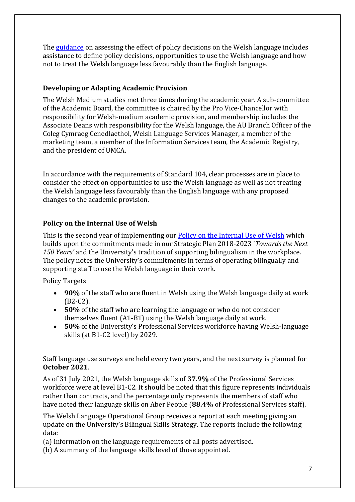The [guidance](https://www.aber.ac.uk/en/media/departmental/cwls/canllawiausafonauiaithhefyd/welshlanguagestandardsdocuments/canllawiausafoniaith/Canllaw-Polisiau-SAESNEG-viii.pdf) on assessing the effect of policy decisions on the Welsh language includes assistance to define policy decisions, opportunities to use the Welsh language and how not to treat the Welsh language less favourably than the English language.

### **Developing or Adapting Academic Provision**

The Welsh Medium studies met three times during the academic year. A sub-committee of the Academic Board, the committee is chaired by the Pro Vice-Chancellor with responsibility for Welsh-medium academic provision, and membership includes the Associate Deans with responsibility for the Welsh language, the AU Branch Officer of the Coleg Cymraeg Cenedlaethol, Welsh Language Services Manager, a member of the marketing team, a member of the Information Services team, the Academic Registry, and the president of UMCA.

In accordance with the requirements of Standard 104, clear processes are in place to consider the effect on opportunities to use the Welsh language as well as not treating the Welsh language less favourably than the English language with any proposed changes to the academic provision.

### **Policy on the Internal Use of Welsh**

This is the second year of implementing our [Policy on the Internal Use of Welsh](https://www.aber.ac.uk/en/media/departmental/cwls/canllawiausafonauiaithhefyd/welshlanguagestandardsdocuments/canllawiausafoniaith/Policy-on-the-Internal-Use-of-Welsh---FINAL.pdf) which builds upon the commitments made in our Strategic Plan 2018-2023 '*Towards the Next 150 Years'* and the University's tradition of supporting bilingualism in the workplace. The policy notes the University's commitments in terms of operating bilingually and supporting staff to use the Welsh language in their work.

### Policy Targets

- **90%** of the staff who are fluent in Welsh using the Welsh language daily at work (B2-C2).
- **50%** of the staff who are learning the language or who do not consider themselves fluent (A1-B1) using the Welsh language daily at work.
- **50%** of the University's Professional Services workforce having Welsh-language skills (at B1-C2 level) by 2029.

Staff language use surveys are held every two years, and the next survey is planned for **October 2021**.

As of 31 July 2021, the Welsh language skills of **37.9%** of the Professional Services workforce were at level B1-C2. It should be noted that this figure represents individuals rather than contracts, and the percentage only represents the members of staff who have noted their language skills on Aber People (**88.4%** of Professional Services staff).

The Welsh Language Operational Group receives a report at each meeting giving an update on the University's Bilingual Skills Strategy. The reports include the following data:

(a) Information on the language requirements of all posts advertised.

(b) A summary of the language skills level of those appointed.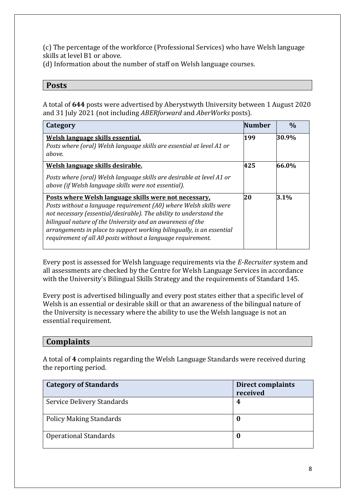(c) The percentage of the workforce (Professional Services) who have Welsh language skills at level B1 or above.

(d) Information about the number of staff on Welsh language courses.

### **Posts**

A total of **644** posts were advertised by Aberystwyth University between 1 August 2020 and 31 July 2021 (not including *ABERforward* and *AberWorks* posts).

| Category                                                                                                                                                                                                                                                                                                                                                                                               | Number | $\frac{0}{0}$ |
|--------------------------------------------------------------------------------------------------------------------------------------------------------------------------------------------------------------------------------------------------------------------------------------------------------------------------------------------------------------------------------------------------------|--------|---------------|
| Welsh language skills essential.<br>Posts where (oral) Welsh language skills are essential at level A1 or<br>above.                                                                                                                                                                                                                                                                                    | 199    | 30.9%         |
| Welsh language skills desirable.                                                                                                                                                                                                                                                                                                                                                                       | 425    | 66.0%         |
| Posts where (oral) Welsh language skills are desirable at level A1 or<br>above (if Welsh language skills were not essential).                                                                                                                                                                                                                                                                          |        |               |
| Posts where Welsh language skills were not necessary.<br>Posts without a language requirement (A0) where Welsh skills were<br>not necessary (essential/desirable). The ability to understand the<br>bilingual nature of the University and an awareness of the<br>arrangements in place to support working bilingually, is an essential<br>requirement of all A0 posts without a language requirement. | 20     | 3.1%          |

Every post is assessed for Welsh language requirements via the *E-Recruiter* system and all assessments are checked by the Centre for Welsh Language Services in accordance with the University's Bilingual Skills Strategy and the requirements of Standard 145.

Every post is advertised bilingually and every post states either that a specific level of Welsh is an essential or desirable skill or that an awareness of the bilingual nature of the University is necessary where the ability to use the Welsh language is not an essential requirement.

### **Complaints**

A total of **4** complaints regarding the Welsh Language Standards were received during the reporting period.

| <b>Category of Standards</b>   | <b>Direct complaints</b><br>received |
|--------------------------------|--------------------------------------|
| Service Delivery Standards     | 4                                    |
| <b>Policy Making Standards</b> | U                                    |
| <b>Operational Standards</b>   | U                                    |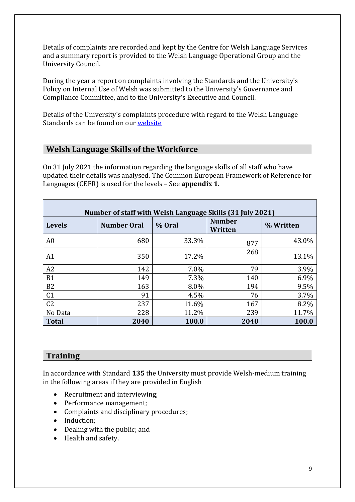Details of complaints are recorded and kept by the Centre for Welsh Language Services and a summary report is provided to the Welsh Language Operational Group and the University Council.

During the year a report on complaints involving the Standards and the University's Policy on Internal Use of Welsh was submitted to the University's Governance and Compliance Committee, and to the University's Executive and Council.

Details of the University's complaints procedure with regard to the Welsh Language Standards can be found on our [website](https://www.aber.ac.uk/en/cgg/bilingual-policy/complaints-procedure/) 

### **Welsh Language Skills of the Workforce**

On 31 July 2021 the information regarding the language skills of all staff who have updated their details was analysed. The Common European Framework of Reference for Languages (CEFR) is used for the levels – See **appendix 1**.

|                | Number of staff with Welsh Language Skills (31 July 2021) |        |                          |           |
|----------------|-----------------------------------------------------------|--------|--------------------------|-----------|
| <b>Levels</b>  | <b>Number Oral</b>                                        | % Oral | <b>Number</b><br>Written | % Written |
| A <sub>0</sub> | 680                                                       | 33.3%  | 877                      | 43.0%     |
| A1             | 350                                                       | 17.2%  | 268                      | 13.1%     |
| A2             | 142                                                       | 7.0%   | 79                       | 3.9%      |
| <b>B1</b>      | 149                                                       | 7.3%   | 140                      | 6.9%      |
| <b>B2</b>      | 163                                                       | 8.0%   | 194                      | 9.5%      |
| C <sub>1</sub> | 91                                                        | 4.5%   | 76                       | 3.7%      |
| C <sub>2</sub> | 237                                                       | 11.6%  | 167                      | 8.2%      |
| No Data        | 228                                                       | 11.2%  | 239                      | 11.7%     |
| <b>Total</b>   | 2040                                                      | 100.0  | 2040                     | 100.0     |

### **Training**

In accordance with Standard **135** the University must provide Welsh-medium training in the following areas if they are provided in English

- Recruitment and interviewing;
- Performance management;
- Complaints and disciplinary procedures;
- Induction;
- Dealing with the public; and
- Health and safety.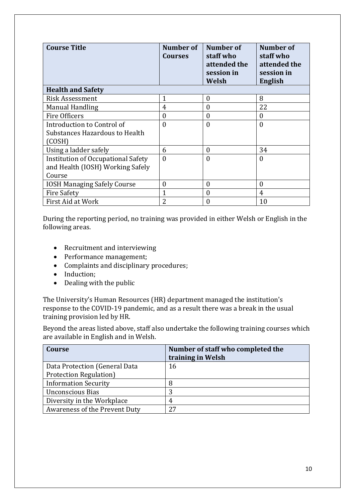| <b>Course Title</b>                       | Number of<br><b>Courses</b> | Number of<br>staff who<br>attended the<br>session in<br>Welsh | Number of<br>staff who<br>attended the<br>session in<br><b>English</b> |
|-------------------------------------------|-----------------------------|---------------------------------------------------------------|------------------------------------------------------------------------|
| <b>Health and Safety</b>                  |                             |                                                               |                                                                        |
| <b>Risk Assessment</b>                    | $\overline{1}$              | $\mathbf{0}$                                                  | 8                                                                      |
| <b>Manual Handling</b>                    | 4                           | $\boldsymbol{0}$                                              | 22                                                                     |
| <b>Fire Officers</b>                      | $\overline{0}$              | $\theta$                                                      | 0                                                                      |
| Introduction to Control of                | $\theta$                    | $\theta$                                                      | $\theta$                                                               |
| Substances Hazardous to Health            |                             |                                                               |                                                                        |
| (COSH)                                    |                             |                                                               |                                                                        |
| Using a ladder safely                     | 6                           | $\boldsymbol{0}$                                              | 34                                                                     |
| <b>Institution of Occupational Safety</b> | $\overline{0}$              | $\boldsymbol{0}$                                              | $\overline{0}$                                                         |
| and Health (IOSH) Working Safely          |                             |                                                               |                                                                        |
| Course                                    |                             |                                                               |                                                                        |
| <b>IOSH Managing Safely Course</b>        | 0                           | 0                                                             | 0                                                                      |
| <b>Fire Safety</b>                        |                             | 0                                                             | 4                                                                      |
| First Aid at Work                         | 2                           | 0                                                             | 10                                                                     |

During the reporting period, no training was provided in either Welsh or English in the following areas.

- Recruitment and interviewing
- Performance management;
- Complaints and disciplinary procedures;
- Induction;
- Dealing with the public

The University's Human Resources (HR) department managed the institution's response to the COVID-19 pandemic, and as a result there was a break in the usual training provision led by HR.

Beyond the areas listed above, staff also undertake the following training courses which are available in English and in Welsh.

| Course                        | Number of staff who completed the<br>training in Welsh |
|-------------------------------|--------------------------------------------------------|
| Data Protection (General Data | 16                                                     |
| Protection Regulation)        |                                                        |
| <b>Information Security</b>   | 8                                                      |
| <b>Unconscious Bias</b>       | 3                                                      |
| Diversity in the Workplace    | 4                                                      |
| Awareness of the Prevent Duty | 27                                                     |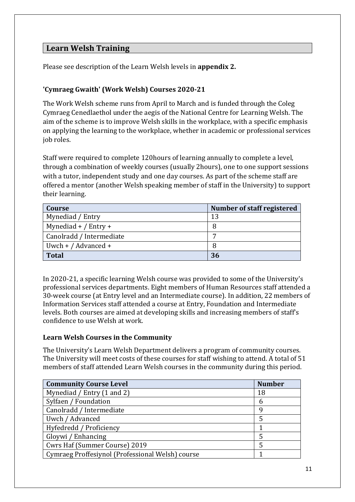### **Learn Welsh Training**

Please see description of the Learn Welsh levels in **appendix 2.**

### **'Cymraeg Gwaith' (Work Welsh) Courses 2020-21**

The Work Welsh scheme runs from April to March and is funded through the Coleg Cymraeg Cenedlaethol under the aegis of the National Centre for Learning Welsh. The aim of the scheme is to improve Welsh skills in the workplace, with a specific emphasis on applying the learning to the workplace, whether in academic or professional services job roles.

Staff were required to complete 120hours of learning annually to complete a level, through a combination of weekly courses (usually 2hours), one to one support sessions with a tutor, independent study and one day courses. As part of the scheme staff are offered a mentor (another Welsh speaking member of staff in the University) to support their learning.

| Course                   | Number of staff registered |
|--------------------------|----------------------------|
| Mynediad / Entry         | 13                         |
| Mynediad $+$ / Entry $+$ | 8                          |
| Canolradd / Intermediate |                            |
| Uwch + $/$ Advanced +    |                            |
| <b>Total</b>             | 36                         |

In 2020-21, a specific learning Welsh course was provided to some of the University's professional services departments. Eight members of Human Resources staff attended a 30-week course (at Entry level and an Intermediate course). In addition, 22 members of Information Services staff attended a course at Entry, Foundation and Intermediate levels. Both courses are aimed at developing skills and increasing members of staff's confidence to use Welsh at work.

### **Learn Welsh Courses in the Community**

The University's Learn Welsh Department delivers a program of community courses. The University will meet costs of these courses for staff wishing to attend. A total of 51 members of staff attended Learn Welsh courses in the community during this period.

| <b>Community Course Level</b>                    | <b>Number</b> |
|--------------------------------------------------|---------------|
| Mynediad / Entry (1 and 2)                       | 18            |
| Sylfaen / Foundation                             | 6             |
| Canolradd / Intermediate                         | q             |
| Uwch / Advanced                                  |               |
| Hyfedredd / Proficiency                          |               |
| Gloywi / Enhancing                               |               |
| Cwrs Haf (Summer Course) 2019                    |               |
| Cymraeg Proffesiynol (Professional Welsh) course |               |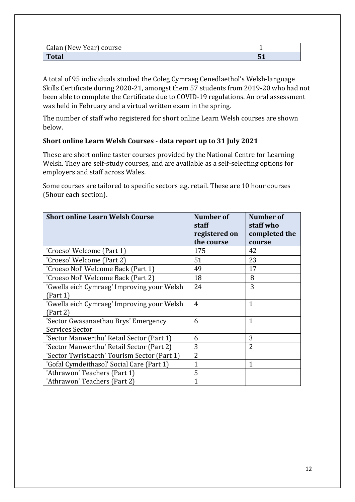| Calan (New Year) course |     |
|-------------------------|-----|
| <b>Total</b>            | ັບມ |

A total of 95 individuals studied the Coleg Cymraeg Cenedlaethol's Welsh-language Skills Certificate during 2020-21, amongst them 57 students from 2019-20 who had not been able to complete the Certificate due to COVID-19 regulations. An oral assessment was held in February and a virtual written exam in the spring.

The number of staff who registered for short online Learn Welsh courses are shown below.

### **Short online Learn Welsh Courses - data report up to 31 July 2021**

These are short online taster courses provided by the National Centre for Learning Welsh. They are self-study courses, and are available as a self-selecting options for employers and staff across Wales.

Some courses are tailored to specific sectors e.g. retail. These are 10 hour courses (5hour each section).

| <b>Short online Learn Welsh Course</b>       | <b>Number of</b><br>staff | Number of<br>staff who |
|----------------------------------------------|---------------------------|------------------------|
|                                              | registered on             | completed the          |
|                                              | the course                | course                 |
| 'Croeso' Welcome (Part 1)                    | 175                       | 42                     |
| 'Croeso' Welcome (Part 2)                    | 51                        | 23                     |
| 'Croeso Nol' Welcome Back (Part 1)           | 49                        | 17                     |
| 'Croeso Nol' Welcome Back (Part 2)           | 18                        | 8                      |
| 'Gwella eich Cymraeg' Improving your Welsh   | 24                        | 3                      |
| (Part 1)                                     |                           |                        |
| 'Gwella eich Cymraeg' Improving your Welsh   | $\overline{4}$            | $\mathbf{1}$           |
| (Part 2)                                     |                           |                        |
| 'Sector Gwasanaethau Brys' Emergency         | 6                         | 1                      |
| Services Sector                              |                           |                        |
| 'Sector Manwerthu' Retail Sector (Part 1)    | 6                         | 3                      |
| 'Sector Manwerthu' Retail Sector (Part 2)    | 3                         | 2                      |
| 'Sector Twristiaeth' Tourism Sector (Part 1) | $\overline{2}$            |                        |
| 'Gofal Cymdeithasol' Social Care (Part 1)    | $\overline{1}$            | $\mathbf{1}$           |
| 'Athrawon' Teachers (Part 1)                 | 5                         |                        |
| 'Athrawon' Teachers (Part 2)                 | 1                         |                        |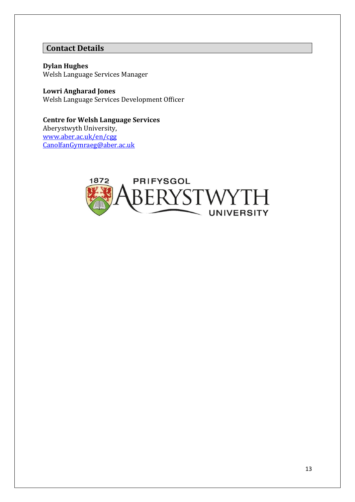### **Contact Details**

**Dylan Hughes** Welsh Language Services Manager

**Lowri Angharad Jones** Welsh Language Services Development Officer

**Centre for Welsh Language Services** Aberystwyth University, [www.aber.ac.uk/en/cgg](http://www.aber.ac.uk/cy/cgg) [CanolfanGymraeg@aber.ac.uk](mailto:CanolfanGymraeg@aber.ac.uk)

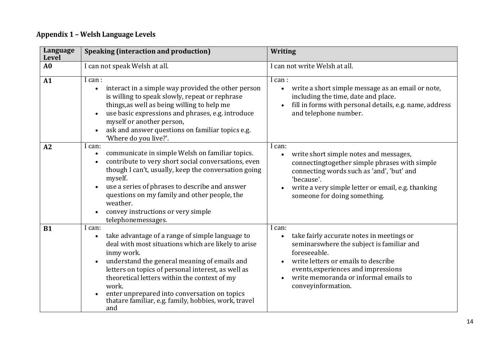## **Appendix 1 – Welsh Language Levels**

| Language<br>Level | <b>Speaking (interaction and production)</b>                                                                                                                                                                                                                                                                                                                                                                                           | <b>Writing</b>                                                                                                                                                                                                                                                                          |
|-------------------|----------------------------------------------------------------------------------------------------------------------------------------------------------------------------------------------------------------------------------------------------------------------------------------------------------------------------------------------------------------------------------------------------------------------------------------|-----------------------------------------------------------------------------------------------------------------------------------------------------------------------------------------------------------------------------------------------------------------------------------------|
| A <sub>0</sub>    | I can not speak Welsh at all.                                                                                                                                                                                                                                                                                                                                                                                                          | I can not write Welsh at all.                                                                                                                                                                                                                                                           |
| A1                | I can :<br>interact in a simple way provided the other person<br>$\bullet$<br>is willing to speak slowly, repeat or rephrase<br>things, as well as being willing to help me<br>use basic expressions and phrases, e.g. introduce<br>$\bullet$<br>myself or another person,<br>ask and answer questions on familiar topics e.g.<br>'Where do you live?'.                                                                                | I can :<br>write a short simple message as an email or note,<br>$\bullet$<br>including the time, date and place.<br>fill in forms with personal details, e.g. name, address<br>and telephone number.                                                                                    |
| A2                | I can:<br>communicate in simple Welsh on familiar topics.<br>$\bullet$<br>contribute to very short social conversations, even<br>$\bullet$<br>though I can't, usually, keep the conversation going<br>myself.<br>use a series of phrases to describe and answer<br>questions on my family and other people, the<br>weather.<br>convey instructions or very simple<br>telephonemessages.                                                | I can:<br>write short simple notes and messages,<br>$\bullet$<br>connectingtogether simple phrases with simple<br>connecting words such as 'and', 'but' and<br>'because'.<br>write a very simple letter or email, e.g. thanking<br>someone for doing something.                         |
| <b>B1</b>         | I can:<br>take advantage of a range of simple language to<br>$\bullet$<br>deal with most situations which are likely to arise<br>inmy work.<br>understand the general meaning of emails and<br>$\bullet$<br>letters on topics of personal interest, as well as<br>theoretical letters within the context of my<br>work.<br>enter unprepared into conversation on topics<br>thatare familiar, e.g. family, hobbies, work, travel<br>and | I can:<br>take fairly accurate notes in meetings or<br>$\bullet$<br>seminarswhere the subject is familiar and<br>foreseeable.<br>write letters or emails to describe<br>events, experiences and impressions<br>write memoranda or informal emails to<br>$\bullet$<br>conveyinformation. |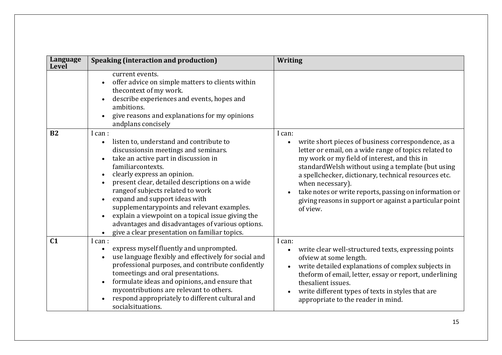| Language<br><b>Level</b> | <b>Speaking (interaction and production)</b>                                                                                                                                                                                                                                                                                                                                                                                                                                                                                                                 | <b>Writing</b>                                                                                                                                                                                                                                                                                                                                                                                                                                        |
|--------------------------|--------------------------------------------------------------------------------------------------------------------------------------------------------------------------------------------------------------------------------------------------------------------------------------------------------------------------------------------------------------------------------------------------------------------------------------------------------------------------------------------------------------------------------------------------------------|-------------------------------------------------------------------------------------------------------------------------------------------------------------------------------------------------------------------------------------------------------------------------------------------------------------------------------------------------------------------------------------------------------------------------------------------------------|
|                          | current events.<br>offer advice on simple matters to clients within<br>the context of my work.<br>describe experiences and events, hopes and<br>ambitions.<br>give reasons and explanations for my opinions<br>andplans concisely                                                                                                                                                                                                                                                                                                                            |                                                                                                                                                                                                                                                                                                                                                                                                                                                       |
| B2                       | I can :<br>listen to, understand and contribute to<br>$\bullet$<br>discussionsin meetings and seminars.<br>take an active part in discussion in<br>$\bullet$<br>familiarcontexts.<br>clearly express an opinion.<br>$\bullet$<br>present clear, detailed descriptions on a wide<br>rangeof subjects related to work<br>expand and support ideas with<br>supplementarypoints and relevant examples.<br>explain a viewpoint on a topical issue giving the<br>advantages and disadvantages of various options.<br>give a clear presentation on familiar topics. | I can:<br>write short pieces of business correspondence, as a<br>$\bullet$<br>letter or email, on a wide range of topics related to<br>my work or my field of interest, and this in<br>standardWelsh without using a template (but using<br>a spellchecker, dictionary, technical resources etc.<br>when necessary).<br>take notes or write reports, passing on information or<br>giving reasons in support or against a particular point<br>of view. |
| C <sub>1</sub>           | I can:<br>express myself fluently and unprompted.<br>use language flexibly and effectively for social and<br>professional purposes, and contribute confidently<br>tomeetings and oral presentations.<br>formulate ideas and opinions, and ensure that<br>mycontributions are relevant to others.<br>respond appropriately to different cultural and<br>socialsituations.                                                                                                                                                                                     | I can:<br>write clear well-structured texts, expressing points<br>$\bullet$<br>ofview at some length.<br>write detailed explanations of complex subjects in<br>$\bullet$<br>theform of email, letter, essay or report, underlining<br>thesalient issues.<br>write different types of texts in styles that are<br>appropriate to the reader in mind.                                                                                                   |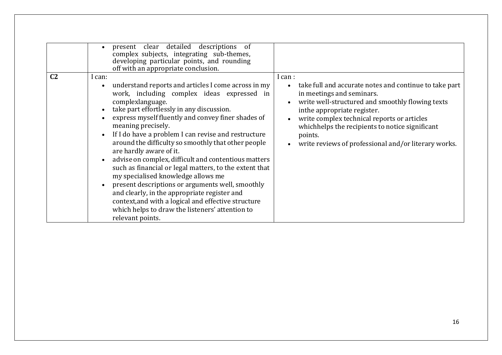| C <sub>2</sub> | $\bullet$<br>l can:<br>$\bullet$ | detailed descriptions of<br>present clear<br>complex subjects, integrating sub-themes,<br>developing particular points, and rounding<br>off with an appropriate conclusion.<br>understand reports and articles I come across in my<br>work, including complex ideas expressed in<br>complexlanguage.<br>take part effortlessly in any discussion.<br>express myself fluently and convey finer shades of<br>meaning precisely.<br>If I do have a problem I can revise and restructure<br>around the difficulty so smoothly that other people | I can :<br>take full and accurate notes and continue to take part<br>$\bullet$<br>in meetings and seminars.<br>write well-structured and smoothly flowing texts<br>$\bullet$<br>inthe appropriate register.<br>write complex technical reports or articles<br>$\bullet$<br>whichhelps the recipients to notice significant<br>points.<br>write reviews of professional and/or literary works.<br>$\bullet$ |
|----------------|----------------------------------|---------------------------------------------------------------------------------------------------------------------------------------------------------------------------------------------------------------------------------------------------------------------------------------------------------------------------------------------------------------------------------------------------------------------------------------------------------------------------------------------------------------------------------------------|------------------------------------------------------------------------------------------------------------------------------------------------------------------------------------------------------------------------------------------------------------------------------------------------------------------------------------------------------------------------------------------------------------|
|                | $\bullet$                        | are hardly aware of it.<br>advise on complex, difficult and contentious matters<br>such as financial or legal matters, to the extent that<br>my specialised knowledge allows me<br>present descriptions or arguments well, smoothly<br>and clearly, in the appropriate register and<br>context, and with a logical and effective structure<br>which helps to draw the listeners' attention to<br>relevant points.                                                                                                                           |                                                                                                                                                                                                                                                                                                                                                                                                            |